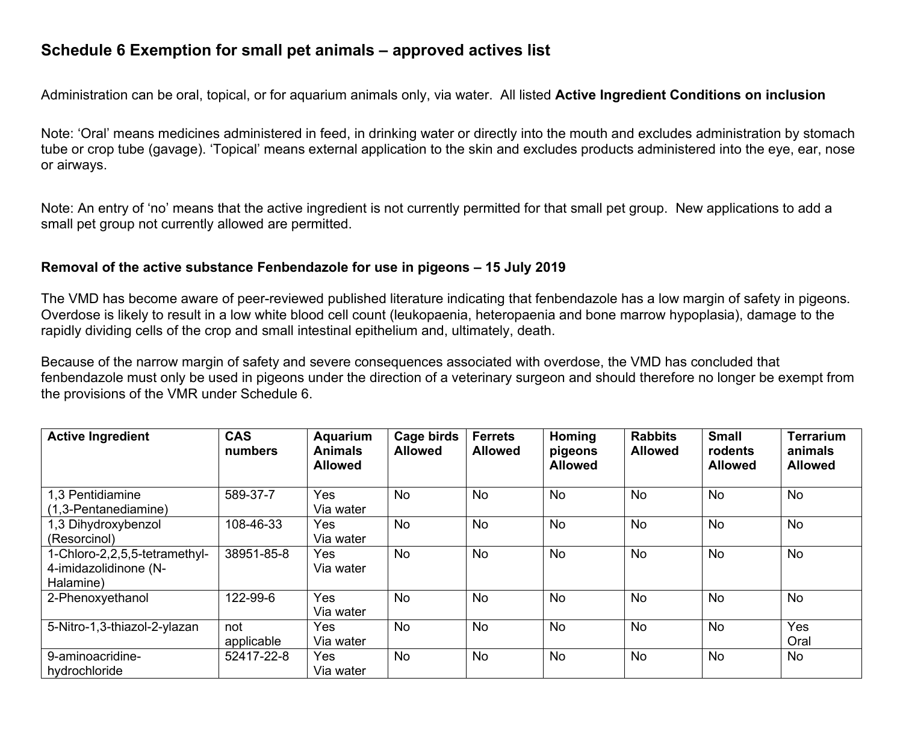# **Schedule 6 Exemption for small pet animals – approved actives list**

Administration can be oral, topical, or for aquarium animals only, via water. All listed **Active Ingredient Conditions on inclusion**

Note: 'Oral' means medicines administered in feed, in drinking water or directly into the mouth and excludes administration by stomach tube or crop tube (gavage). 'Topical' means external application to the skin and excludes products administered into the eye, ear, nose or airways.

Note: An entry of 'no' means that the active ingredient is not currently permitted for that small pet group. New applications to add a small pet group not currently allowed are permitted.

#### **Removal of the active substance Fenbendazole for use in pigeons – 15 July 2019**

The VMD has become aware of peer-reviewed published literature indicating that fenbendazole has a low margin of safety in pigeons. Overdose is likely to result in a low white blood cell count (leukopaenia, heteropaenia and bone marrow hypoplasia), damage to the rapidly dividing cells of the crop and small intestinal epithelium and, ultimately, death.

Because of the narrow margin of safety and severe consequences associated with overdose, the VMD has concluded that fenbendazole must only be used in pigeons under the direction of a veterinary surgeon and should therefore no longer be exempt from the provisions of the VMR under Schedule 6.

| <b>Active Ingredient</b>                                            | <b>CAS</b><br>numbers | Aquarium<br><b>Animals</b><br><b>Allowed</b> | Cage birds<br><b>Allowed</b> | <b>Ferrets</b><br><b>Allowed</b> | Homing<br>pigeons<br><b>Allowed</b> | <b>Rabbits</b><br><b>Allowed</b> | <b>Small</b><br>rodents<br><b>Allowed</b> | <b>Terrarium</b><br>animals<br><b>Allowed</b> |
|---------------------------------------------------------------------|-----------------------|----------------------------------------------|------------------------------|----------------------------------|-------------------------------------|----------------------------------|-------------------------------------------|-----------------------------------------------|
| 1,3 Pentidiamine<br>(1,3-Pentanediamine)                            | 589-37-7              | <b>Yes</b><br>Via water                      | <b>No</b>                    | No                               | <b>No</b>                           | <b>No</b>                        | <b>No</b>                                 | No                                            |
| 1,3 Dihydroxybenzol<br>(Resorcinol)                                 | 108-46-33             | <b>Yes</b><br>Via water                      | <b>No</b>                    | No                               | <b>No</b>                           | <b>No</b>                        | <b>No</b>                                 | No                                            |
| 1-Chloro-2,2,5,5-tetramethyl-<br>4-imidazolidinone (N-<br>Halamine) | 38951-85-8            | <b>Yes</b><br>Via water                      | <b>No</b>                    | No                               | <b>No</b>                           | No                               | No                                        | No                                            |
| 2-Phenoxyethanol                                                    | 122-99-6              | <b>Yes</b><br>Via water                      | <b>No</b>                    | No                               | <b>No</b>                           | <b>No</b>                        | <b>No</b>                                 | <b>No</b>                                     |
| 5-Nitro-1,3-thiazol-2-ylazan                                        | not<br>applicable     | <b>Yes</b><br>Via water                      | No                           | No                               | <b>No</b>                           | No                               | No                                        | Yes<br>Oral                                   |
| 9-aminoacridine-<br>hydrochloride                                   | 52417-22-8            | <b>Yes</b><br>Via water                      | <b>No</b>                    | No                               | <b>No</b>                           | <b>No</b>                        | <b>No</b>                                 | No                                            |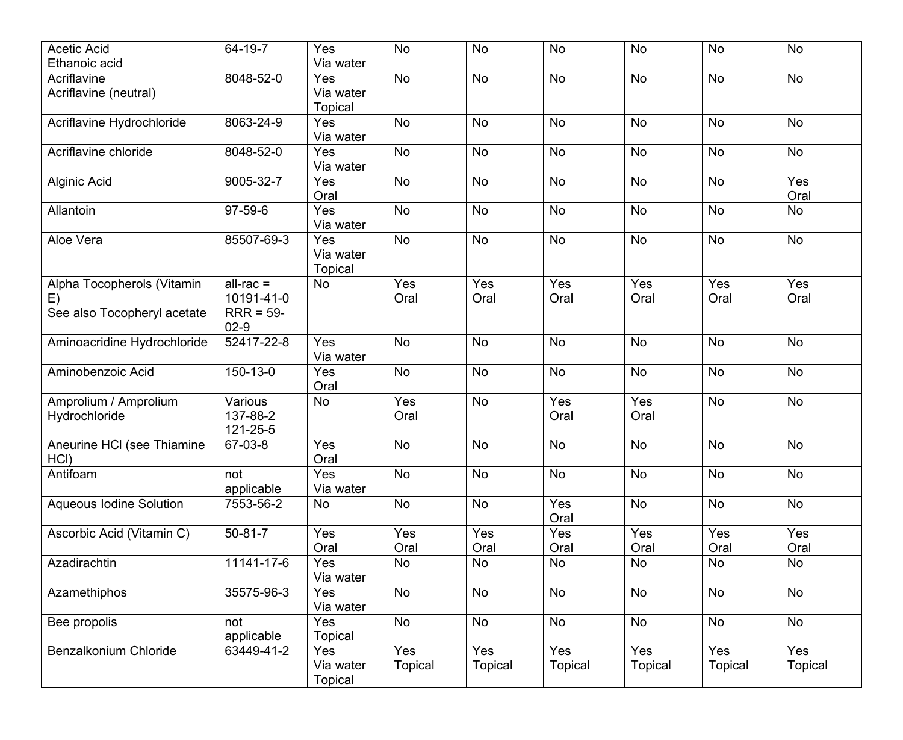| <b>Acetic Acid</b><br>Ethanoic acid                             | 64-19-7                                            | Yes<br>Via water                   | <b>No</b>             | <b>No</b>      | <b>No</b>             | <b>No</b>             | No                    | No                    |
|-----------------------------------------------------------------|----------------------------------------------------|------------------------------------|-----------------------|----------------|-----------------------|-----------------------|-----------------------|-----------------------|
| Acriflavine                                                     | 8048-52-0                                          | Yes                                | <b>No</b>             | <b>No</b>      | <b>No</b>             | <b>No</b>             | <b>No</b>             | No                    |
| Acriflavine (neutral)                                           |                                                    | Via water<br><b>Topical</b>        |                       |                |                       |                       |                       |                       |
| Acriflavine Hydrochloride                                       | 8063-24-9                                          | Yes<br>Via water                   | <b>No</b>             | No             | <b>No</b>             | <b>No</b>             | No                    | No                    |
| Acriflavine chloride                                            | 8048-52-0                                          | Yes<br>Via water                   | <b>No</b>             | <b>No</b>      | <b>No</b>             | <b>No</b>             | No                    | No                    |
| Alginic Acid                                                    | 9005-32-7                                          | Yes<br>Oral                        | <b>No</b>             | No             | <b>No</b>             | <b>No</b>             | <b>No</b>             | Yes<br>Oral           |
| Allantoin                                                       | 97-59-6                                            | Yes<br>Via water                   | <b>No</b>             | No             | <b>No</b>             | <b>No</b>             | <b>No</b>             | No                    |
| Aloe Vera                                                       | 85507-69-3                                         | Yes<br>Via water<br><b>Topical</b> | <b>No</b>             | No             | No                    | No                    | No                    | No                    |
| Alpha Tocopherols (Vitamin<br>E)<br>See also Tocopheryl acetate | $all-rac =$<br>10191-41-0<br>$RRR = 59-$<br>$02-9$ | No                                 | Yes<br>Oral           | Yes<br>Oral    | Yes<br>Oral           | Yes<br>Oral           | Yes<br>Oral           | Yes<br>Oral           |
| Aminoacridine Hydrochloride                                     | 52417-22-8                                         | Yes<br>Via water                   | <b>No</b>             | <b>No</b>      | <b>No</b>             | <b>No</b>             | No                    | No                    |
| Aminobenzoic Acid                                               | 150-13-0                                           | Yes<br>Oral                        | <b>No</b>             | No             | No                    | <b>No</b>             | No                    | No                    |
| Amprolium / Amprolium<br>Hydrochloride                          | Various<br>137-88-2<br>121-25-5                    | <b>No</b>                          | Yes<br>Oral           | <b>No</b>      | Yes<br>Oral           | Yes<br>Oral           | <b>No</b>             | No                    |
| Aneurine HCI (see Thiamine<br>HCI)                              | 67-03-8                                            | Yes<br>Oral                        | <b>No</b>             | No             | <b>No</b>             | <b>No</b>             | <b>No</b>             | No                    |
| Antifoam                                                        | not<br>applicable                                  | Yes<br>Via water                   | <b>No</b>             | No             | No                    | <b>No</b>             | No                    | No                    |
| <b>Aqueous Iodine Solution</b>                                  | 7553-56-2                                          | No                                 | No                    | No             | Yes<br>Oral           | <b>No</b>             | <b>No</b>             | No                    |
| Ascorbic Acid (Vitamin C)                                       | $50 - 81 - 7$                                      | Yes<br>Oral                        | Yes<br>Oral           | Yes<br>Oral    | Yes<br>Oral           | Yes<br>Oral           | Yes<br>Oral           | Yes<br>Oral           |
| Azadirachtin                                                    | 11141-17-6                                         | Yes<br>Via water                   | No                    | <b>No</b>      | <b>No</b>             | No                    | No                    | No                    |
| Azamethiphos                                                    | 35575-96-3                                         | Yes<br>Via water                   | <b>No</b>             | No             | No                    | No                    | No                    | No                    |
| Bee propolis                                                    | not<br>applicable                                  | Yes<br>Topical                     | No                    | No             | No                    | No                    | <b>No</b>             | No                    |
| Benzalkonium Chloride                                           | 63449-41-2                                         | Yes<br>Via water<br>Topical        | Yes<br><b>Topical</b> | Yes<br>Topical | Yes<br><b>Topical</b> | Yes<br><b>Topical</b> | Yes<br><b>Topical</b> | Yes<br><b>Topical</b> |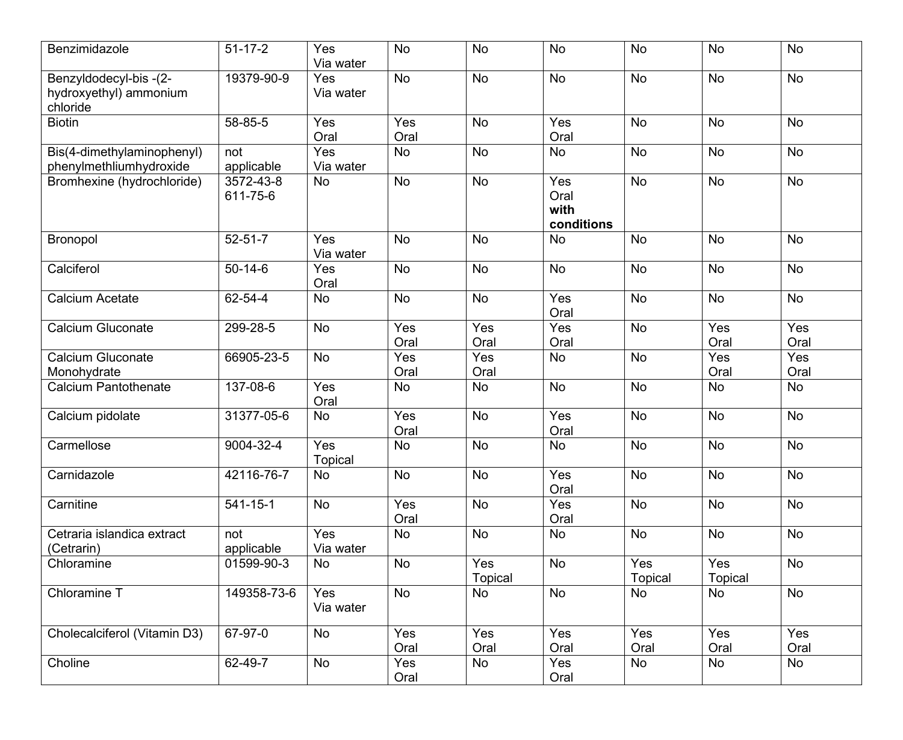| Benzimidazole                                               | $51 - 17 - 2$          | Yes<br>Via water      | <b>No</b>   | <b>No</b>      | <b>No</b>                         | No             | <b>No</b>      | <b>No</b>   |
|-------------------------------------------------------------|------------------------|-----------------------|-------------|----------------|-----------------------------------|----------------|----------------|-------------|
| Benzyldodecyl-bis-(2-<br>hydroxyethyl) ammonium<br>chloride | 19379-90-9             | Yes<br>Via water      | No          | <b>No</b>      | <b>No</b>                         | No             | No             | <b>No</b>   |
| <b>Biotin</b>                                               | 58-85-5                | Yes<br>Oral           | Yes<br>Oral | No             | Yes<br>Oral                       | <b>No</b>      | No             | No          |
| Bis(4-dimethylaminophenyl)<br>phenylmethliumhydroxide       | not<br>applicable      | Yes<br>Via water      | No          | <b>No</b>      | <b>No</b>                         | No             | No             | No          |
| Bromhexine (hydrochloride)                                  | 3572-43-8<br>611-75-6  | No                    | No          | <b>No</b>      | Yes<br>Oral<br>with<br>conditions | <b>No</b>      | No             | <b>No</b>   |
| Bronopol                                                    | $52 - 51 - 7$          | Yes<br>Via water      | <b>No</b>   | <b>No</b>      | <b>No</b>                         | <b>No</b>      | No             | <b>No</b>   |
| Calciferol                                                  | $50 - 14 - 6$          | Yes<br>Oral           | No          | No             | No                                | No             | No             | <b>No</b>   |
| <b>Calcium Acetate</b>                                      | 62-54-4                | No                    | No          | No             | Yes<br>Oral                       | No             | No             | No          |
| <b>Calcium Gluconate</b>                                    | 299-28-5               | <b>No</b>             | Yes<br>Oral | Yes<br>Oral    | Yes<br>Oral                       | No             | Yes<br>Oral    | Yes<br>Oral |
| <b>Calcium Gluconate</b><br>Monohydrate                     | 66905-23-5             | No                    | Yes<br>Oral | Yes<br>Oral    | No                                | No             | Yes<br>Oral    | Yes<br>Oral |
| <b>Calcium Pantothenate</b>                                 | 137-08-6               | Yes<br>Oral           | No          | <b>No</b>      | <b>No</b>                         | <b>No</b>      | <b>No</b>      | No          |
| Calcium pidolate                                            | 31377-05-6             | No                    | Yes<br>Oral | No             | Yes<br>Oral                       | <b>No</b>      | No             | <b>No</b>   |
| Carmellose                                                  | 9004-32-4              | Yes<br><b>Topical</b> | No          | No             | No                                | No             | No             | <b>No</b>   |
| Carnidazole                                                 | 42116-76-7             | No                    | No          | No             | Yes<br>Oral                       | No             | No             | No          |
| Carnitine                                                   | $\overline{54}$ 1-15-1 | <b>No</b>             | Yes<br>Oral | No             | Yes<br>Oral                       | <b>No</b>      | No             | No          |
| Cetraria islandica extract<br>(Cetrarin)                    | not<br>applicable      | Yes<br>Via water      | No          | <b>No</b>      | No                                | <b>No</b>      | <b>No</b>      | <b>No</b>   |
| Chloramine                                                  | 01599-90-3             | No                    | No          | Yes<br>Topical | No                                | Yes<br>Topical | Yes<br>Topical | No          |
| Chloramine $\overline{T}$                                   | 149358-73-6            | Yes<br>Via water      | No          | No             | No                                | No             | No             | No          |
| Cholecalciferol (Vitamin D3)                                | 67-97-0                | No                    | Yes<br>Oral | Yes<br>Oral    | Yes<br>Oral                       | Yes<br>Oral    | Yes<br>Oral    | Yes<br>Oral |
| Choline                                                     | 62-49-7                | No                    | Yes<br>Oral | No             | Yes<br>Oral                       | No             | <b>No</b>      | No          |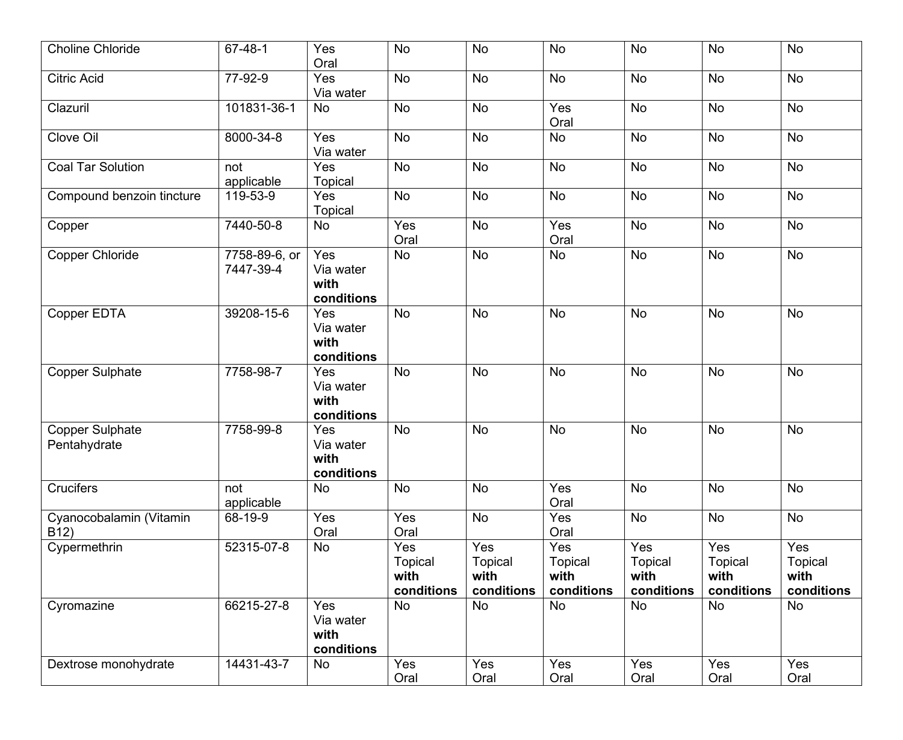| <b>Choline Chloride</b>                      | 67-48-1                    | Yes<br>Oral                            | <b>No</b>                            | <b>No</b>                                   | <b>No</b>                                   | <b>No</b>                                   | <b>No</b>                                   | <b>No</b>                            |
|----------------------------------------------|----------------------------|----------------------------------------|--------------------------------------|---------------------------------------------|---------------------------------------------|---------------------------------------------|---------------------------------------------|--------------------------------------|
| <b>Citric Acid</b>                           | 77-92-9                    | Yes<br>Via water                       | <b>No</b>                            | <b>No</b>                                   | <b>No</b>                                   | <b>No</b>                                   | No                                          | No                                   |
| Clazuril                                     | 101831-36-1                | <b>No</b>                              | <b>No</b>                            | No                                          | Yes<br>Oral                                 | <b>No</b>                                   | No                                          | <b>No</b>                            |
| Clove Oil                                    | 8000-34-8                  | Yes<br>Via water                       | <b>No</b>                            | No                                          | No                                          | No                                          | No                                          | <b>No</b>                            |
| <b>Coal Tar Solution</b>                     | not<br>applicable          | Yes<br><b>Topical</b>                  | No                                   | No                                          | <b>No</b>                                   | <b>No</b>                                   | No                                          | No                                   |
| Compound benzoin tincture                    | 119-53-9                   | Yes<br><b>Topical</b>                  | No                                   | No                                          | <b>No</b>                                   | <b>No</b>                                   | No                                          | <b>No</b>                            |
| Copper                                       | 7440-50-8                  | <b>No</b>                              | Yes<br>Oral                          | No                                          | Yes<br>Oral                                 | <b>No</b>                                   | No                                          | <b>No</b>                            |
| <b>Copper Chloride</b>                       | 7758-89-6, or<br>7447-39-4 | Yes<br>Via water<br>with<br>conditions | No                                   | No                                          | <b>No</b>                                   | No                                          | No                                          | No                                   |
| Copper EDTA                                  | 39208-15-6                 | Yes<br>Via water<br>with<br>conditions | <b>No</b>                            | No                                          | <b>No</b>                                   | No                                          | No                                          | No                                   |
| <b>Copper Sulphate</b>                       | 7758-98-7                  | Yes<br>Via water<br>with<br>conditions | No                                   | No                                          | <b>No</b>                                   | No                                          | No                                          | No                                   |
| <b>Copper Sulphate</b><br>Pentahydrate       | 7758-99-8                  | Yes<br>Via water<br>with<br>conditions | <b>No</b>                            | No                                          | <b>No</b>                                   | <b>No</b>                                   | <b>No</b>                                   | No                                   |
| Crucifers                                    | not<br>applicable          | No                                     | No                                   | No                                          | Yes<br>Oral                                 | No                                          | No                                          | No                                   |
| Cyanocobalamin (Vitamin<br>B <sub>12</sub> ) | 68-19-9                    | Yes<br>Oral                            | Yes<br>Oral                          | <b>No</b>                                   | Yes<br>Oral                                 | <b>No</b>                                   | <b>No</b>                                   | No                                   |
| Cypermethrin                                 | 52315-07-8                 | No                                     | Yes<br>Topical<br>with<br>conditions | Yes<br><b>Topical</b><br>with<br>conditions | Yes<br><b>Topical</b><br>with<br>conditions | Yes<br><b>Topical</b><br>with<br>conditions | Yes<br><b>Topical</b><br>with<br>conditions | Yes<br>Topical<br>with<br>conditions |
| Cyromazine                                   | 66215-27-8                 | Yes<br>Via water<br>with<br>conditions | <b>No</b>                            | No                                          | <b>No</b>                                   | <b>No</b>                                   | No                                          | <b>No</b>                            |
| Dextrose monohydrate                         | 14431-43-7                 | No                                     | Yes<br>Oral                          | Yes<br>Oral                                 | Yes<br>Oral                                 | Yes<br>Oral                                 | Yes<br>Oral                                 | Yes<br>Oral                          |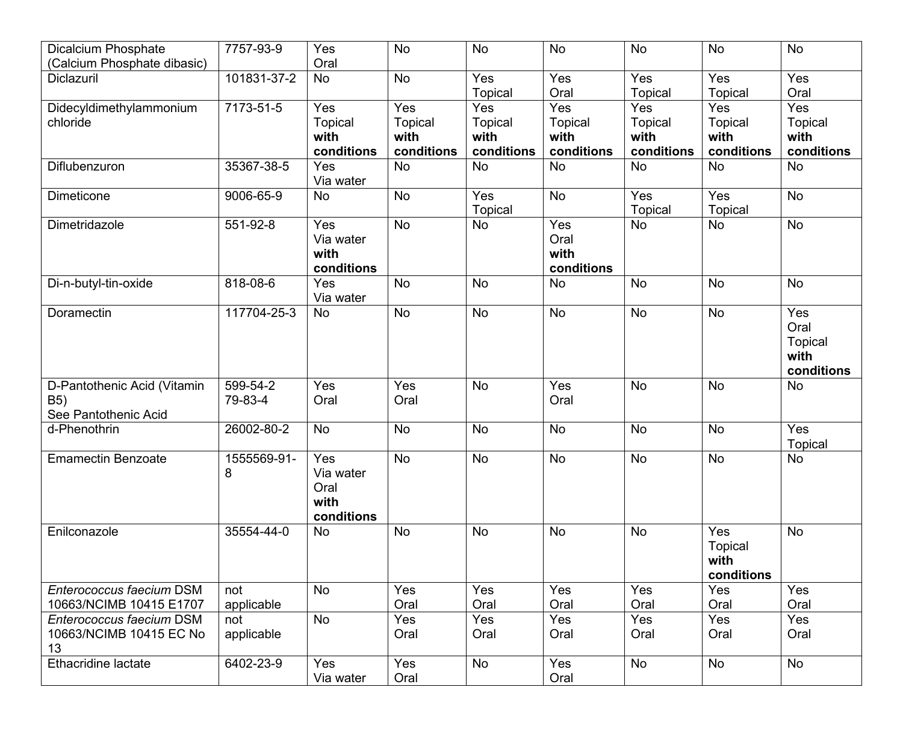| <b>Dicalcium Phosphate</b>  | 7757-93-9   | Yes              | <b>No</b>      | <b>No</b>      | <b>No</b>      | <b>No</b>             | <b>No</b>        | <b>No</b>             |
|-----------------------------|-------------|------------------|----------------|----------------|----------------|-----------------------|------------------|-----------------------|
| (Calcium Phosphate dibasic) |             | Oral             |                |                |                |                       |                  |                       |
| Diclazuril                  | 101831-37-2 | <b>No</b>        | <b>No</b>      | Yes<br>Topical | Yes<br>Oral    | Yes<br><b>Topical</b> | Yes<br>Topical   | Yes<br>Oral           |
| Didecyldimethylammonium     | 7173-51-5   | Yes              | Yes            | Yes            | Yes            | Yes                   | $\overline{Yes}$ | Yes                   |
| chloride                    |             | <b>Topical</b>   | <b>Topical</b> | <b>Topical</b> | <b>Topical</b> | <b>Topical</b>        | <b>Topical</b>   | Topical               |
|                             |             | with             | with           | with           | with           | with                  | with             | with                  |
|                             |             | conditions       | conditions     | conditions     | conditions     | conditions            | conditions       | conditions            |
| Diflubenzuron               | 35367-38-5  | Yes<br>Via water | <b>No</b>      | <b>No</b>      | <b>No</b>      | <b>No</b>             | <b>No</b>        | <b>No</b>             |
| <b>Dimeticone</b>           | 9006-65-9   | No               | <b>No</b>      | Yes            | <b>No</b>      | Yes                   | Yes              | <b>No</b>             |
|                             |             |                  |                | Topical        |                | <b>Topical</b>        | <b>Topical</b>   |                       |
| Dimetridazole               | 551-92-8    | Yes              | No             | <b>No</b>      | Yes            | No                    | No               | <b>No</b>             |
|                             |             | Via water        |                |                | Oral           |                       |                  |                       |
|                             |             | with             |                |                | with           |                       |                  |                       |
|                             |             | conditions       |                |                | conditions     |                       |                  |                       |
| Di-n-butyl-tin-oxide        | 818-08-6    | Yes<br>Via water | No             | <b>No</b>      | <b>No</b>      | <b>No</b>             | <b>No</b>        | No                    |
| Doramectin                  | 117704-25-3 | No               | No             | <b>No</b>      | <b>No</b>      | <b>No</b>             | <b>No</b>        | Yes                   |
|                             |             |                  |                |                |                |                       |                  | Oral                  |
|                             |             |                  |                |                |                |                       |                  | Topical               |
|                             |             |                  |                |                |                |                       |                  | with                  |
|                             |             |                  |                |                |                |                       |                  | conditions            |
| D-Pantothenic Acid (Vitamin | 599-54-2    | Yes              | Yes            | <b>No</b>      | Yes            | <b>No</b>             | <b>No</b>        | No                    |
| <b>B5)</b>                  | 79-83-4     | Oral             | Oral           |                | Oral           |                       |                  |                       |
| See Pantothenic Acid        |             |                  |                |                |                |                       |                  |                       |
| d-Phenothrin                | 26002-80-2  | <b>No</b>        | No             | No             | <b>No</b>      | <b>No</b>             | No               | Yes<br><b>Topical</b> |
| <b>Emamectin Benzoate</b>   | 1555569-91- | Yes              | No             | <b>No</b>      | <b>No</b>      | <b>No</b>             | <b>No</b>        | No                    |
|                             | 8           | Via water        |                |                |                |                       |                  |                       |
|                             |             | Oral             |                |                |                |                       |                  |                       |
|                             |             | with             |                |                |                |                       |                  |                       |
|                             |             | conditions       |                |                |                |                       |                  |                       |
| Enilconazole                | 35554-44-0  | No               | No             | <b>No</b>      | <b>No</b>      | <b>No</b>             | Yes              | <b>No</b>             |
|                             |             |                  |                |                |                |                       | <b>Topical</b>   |                       |
|                             |             |                  |                |                |                |                       | with             |                       |
|                             |             |                  |                |                |                |                       | conditions       |                       |
| Enterococcus faecium DSM    | not         | <b>No</b>        | Yes            | Yes            | Yes            | Yes                   | Yes              | Yes                   |
| 10663/NCIMB 10415 E1707     | applicable  |                  | Oral           | Oral           | Oral           | Oral                  | Oral             | Oral                  |
| Enterococcus faecium DSM    | not         | <b>No</b>        | Yes            | Yes            | Yes            | Yes                   | Yes              | Yes                   |
| 10663/NCIMB 10415 EC No     | applicable  |                  | Oral           | Oral           | Oral           | Oral                  | Oral             | Oral                  |
| 13                          |             |                  |                |                |                |                       |                  |                       |
| Ethacridine lactate         | 6402-23-9   | Yes              | Yes            | No             | Yes            | No                    | <b>No</b>        | No                    |
|                             |             | Via water        | Oral           |                | Oral           |                       |                  |                       |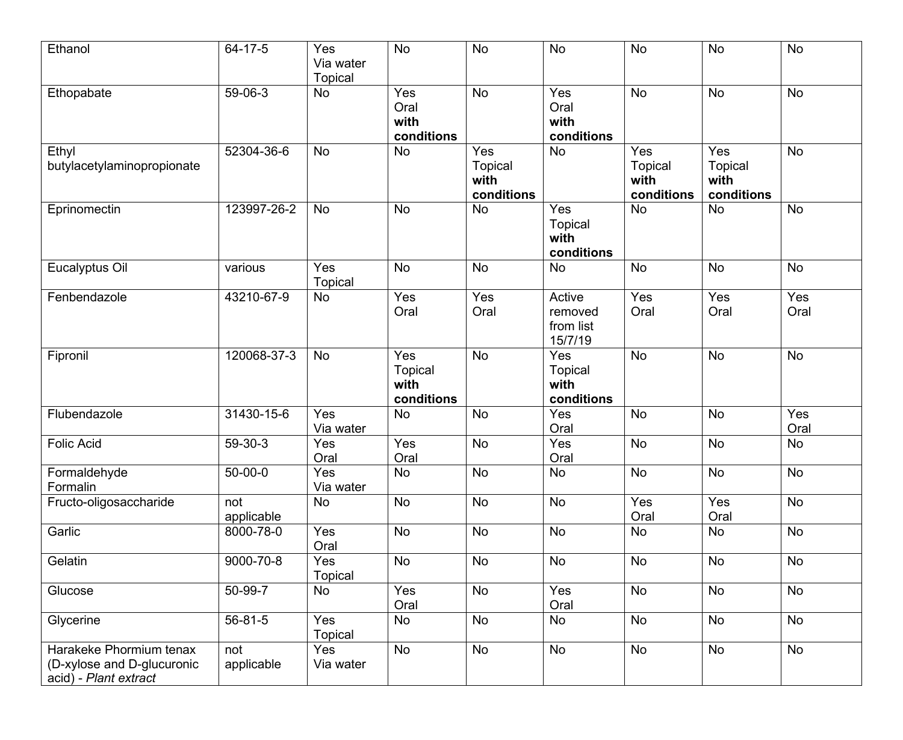| Ethanol                                                                        | 64-17-5           | Yes<br>Via water<br><b>Topical</b> | <b>No</b>                                                | <b>No</b>                            | <b>No</b>                                   | <b>No</b>                            | N <sub>o</sub>                              | <b>No</b>   |
|--------------------------------------------------------------------------------|-------------------|------------------------------------|----------------------------------------------------------|--------------------------------------|---------------------------------------------|--------------------------------------|---------------------------------------------|-------------|
| Ethopabate                                                                     | 59-06-3           | <b>No</b>                          | Yes<br>Oral<br>with<br>conditions                        | <b>No</b>                            | Yes<br>Oral<br>with<br>conditions           | <b>No</b>                            | <b>No</b>                                   | <b>No</b>   |
| Ethyl<br>butylacetylaminopropionate                                            | 52304-36-6        | <b>No</b>                          | No                                                       | Yes<br>Topical<br>with<br>conditions | <b>No</b>                                   | Yes<br>Topical<br>with<br>conditions | Yes<br><b>Topical</b><br>with<br>conditions | No          |
| Eprinomectin                                                                   | 123997-26-2       | <b>No</b>                          | No                                                       | <b>No</b>                            | Yes<br><b>Topical</b><br>with<br>conditions | <b>No</b>                            | <b>No</b>                                   | <b>No</b>   |
| Eucalyptus Oil                                                                 | various           | Yes<br>Topical                     | No                                                       | <b>No</b>                            | <b>No</b>                                   | <b>No</b>                            | <b>No</b>                                   | <b>No</b>   |
| Fenbendazole                                                                   | 43210-67-9        | No                                 | Yes<br>Oral                                              | Yes<br>Oral                          | Active<br>removed<br>from list<br>15/7/19   | Yes<br>Oral                          | Yes<br>Oral                                 | Yes<br>Oral |
| Fipronil                                                                       | 120068-37-3       | <b>No</b>                          | $\overline{Yes}$<br><b>Topical</b><br>with<br>conditions | No                                   | Yes<br><b>Topical</b><br>with<br>conditions | <b>No</b>                            | <b>No</b>                                   | No          |
| Flubendazole                                                                   | 31430-15-6        | Yes<br>Via water                   | No                                                       | No                                   | Yes<br>Oral                                 | No                                   | No                                          | Yes<br>Oral |
| <b>Folic Acid</b>                                                              | 59-30-3           | Yes<br>Oral                        | Yes<br>Oral                                              | No                                   | Yes<br>Oral                                 | No                                   | <b>No</b>                                   | No          |
| Formaldehyde<br>Formalin                                                       | $50 - 00 - 0$     | Yes<br>Via water                   | No                                                       | <b>No</b>                            | No                                          | <b>No</b>                            | <b>No</b>                                   | No          |
| Fructo-oligosaccharide                                                         | not<br>applicable | <b>No</b>                          | No                                                       | No                                   | No                                          | Yes<br>Oral                          | Yes<br>Oral                                 | No          |
| Garlic                                                                         | 8000-78-0         | Yes<br>Oral                        | No                                                       | No                                   | <b>No</b>                                   | <b>No</b>                            | No                                          | No          |
| Gelatin                                                                        | 9000-70-8         | Yes<br>Topical                     | No                                                       | No                                   | No                                          | No                                   | No                                          | No          |
| Glucose                                                                        | 50-99-7           | No                                 | Yes<br>Oral                                              | No                                   | Yes<br>Oral                                 | No                                   | No                                          | No          |
| Glycerine                                                                      | 56-81-5           | Yes<br>Topical                     | No                                                       | No                                   | <b>No</b>                                   | No                                   | <b>No</b>                                   | No          |
| Harakeke Phormium tenax<br>(D-xylose and D-glucuronic<br>acid) - Plant extract | not<br>applicable | Yes<br>Via water                   | No                                                       | No                                   | No                                          | No                                   | No                                          | No          |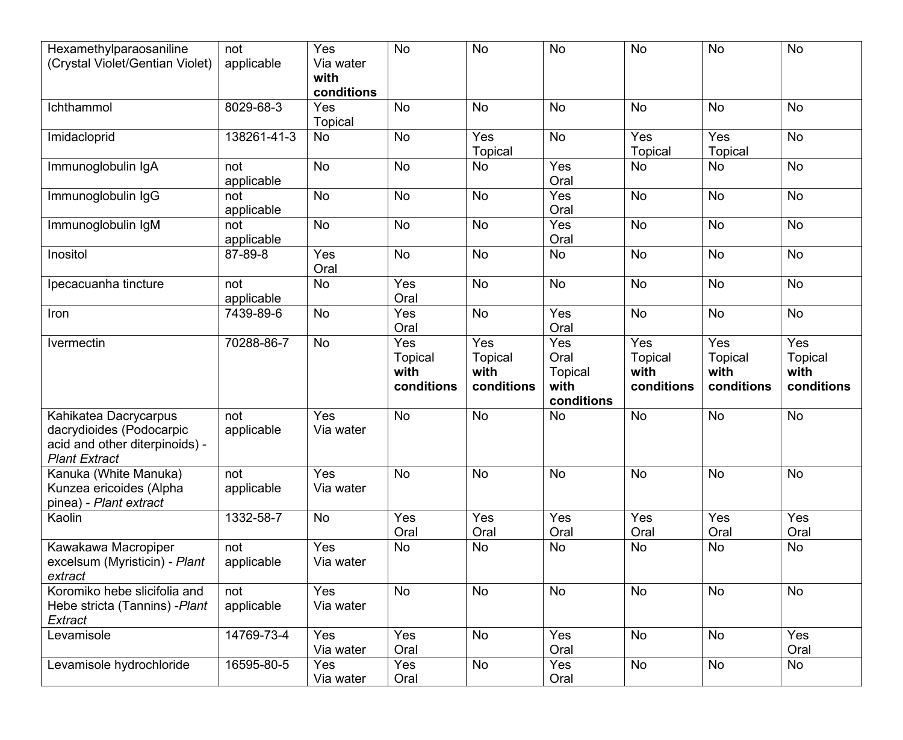| Hexamethylparaosaniline<br>(Crystal Violet/Gentian Violet)                                                  | not<br>applicable | Yes<br>Via water<br>with<br>conditions | <b>No</b>             | No                    | <b>No</b>                            | <b>No</b>             | <b>No</b>             | No                    |
|-------------------------------------------------------------------------------------------------------------|-------------------|----------------------------------------|-----------------------|-----------------------|--------------------------------------|-----------------------|-----------------------|-----------------------|
| Ichthammol                                                                                                  | 8029-68-3         | Yes<br><b>Topical</b>                  | No                    | No                    | <b>No</b>                            | <b>No</b>             | No                    | No                    |
| Imidacloprid                                                                                                | 138261-41-3       | <b>No</b>                              | <b>No</b>             | Yes<br><b>Topical</b> | <b>No</b>                            | Yes<br>Topical        | Yes<br>Topical        | <b>No</b>             |
| Immunoglobulin IgA                                                                                          | not<br>applicable | No                                     | <b>No</b>             | No                    | Yes<br>Oral                          | <b>No</b>             | No                    | No                    |
| Immunoglobulin IgG                                                                                          | not<br>applicable | <b>No</b>                              | <b>No</b>             | <b>No</b>             | Yes<br>Oral                          | <b>No</b>             | <b>No</b>             | <b>No</b>             |
| Immunoglobulin IgM                                                                                          | not<br>applicable | No                                     | <b>No</b>             | <b>No</b>             | Yes<br>Oral                          | <b>No</b>             | <b>No</b>             | <b>No</b>             |
| Inositol                                                                                                    | 87-89-8           | Yes<br>Oral                            | No                    | No                    | <b>No</b>                            | <b>No</b>             | No                    | <b>No</b>             |
| Ipecacuanha tincture                                                                                        | not<br>applicable | No                                     | Yes<br>Oral           | No                    | <b>No</b>                            | <b>No</b>             | No                    | <b>No</b>             |
| Iron                                                                                                        | 7439-89-6         | No                                     | Yes<br>Oral           | <b>No</b>             | Yes<br>Oral                          | <b>No</b>             | No                    | <b>No</b>             |
| Ivermectin                                                                                                  | 70288-86-7        | No                                     | Yes<br><b>Topical</b> | Yes<br>Topical        | Yes<br>Oral                          | Yes<br><b>Topical</b> | Yes<br><b>Topical</b> | Yes<br><b>Topical</b> |
|                                                                                                             |                   |                                        | with<br>conditions    | with<br>conditions    | <b>Topical</b><br>with<br>conditions | with<br>conditions    | with<br>conditions    | with<br>conditions    |
| Kahikatea Dacrycarpus<br>dacrydioides (Podocarpic<br>acid and other diterpinoids) -<br><b>Plant Extract</b> | not<br>applicable | Yes<br>Via water                       | <b>No</b>             | No                    | <b>No</b>                            | <b>No</b>             | No                    | <b>No</b>             |
| Kanuka (White Manuka)<br>Kunzea ericoides (Alpha<br>pinea) - Plant extract                                  | not<br>applicable | Yes<br>Via water                       | No                    | No                    | <b>No</b>                            | <b>No</b>             | No                    | No                    |
| Kaolin                                                                                                      | 1332-58-7         | <b>No</b>                              | Yes<br>Oral           | Yes<br>Oral           | Yes<br>Oral                          | Yes<br>Oral           | Yes<br>Oral           | Yes<br>Oral           |
| Kawakawa Macropiper<br>excelsum (Myristicin) - Plant<br>extract                                             | not<br>applicable | Yes<br>Via water                       | No                    | No                    | No                                   | No                    | No                    | No                    |
| Koromiko hebe slicifolia and<br>Hebe stricta (Tannins) - Plant<br>Extract                                   | not<br>applicable | Yes<br>Via water                       | No                    | <b>No</b>             | <b>No</b>                            | <b>No</b>             | No                    | No                    |
| Levamisole                                                                                                  | 14769-73-4        | Yes<br>Via water                       | Yes<br>Oral           | No                    | Yes<br>Oral                          | No                    | No                    | Yes<br>Oral           |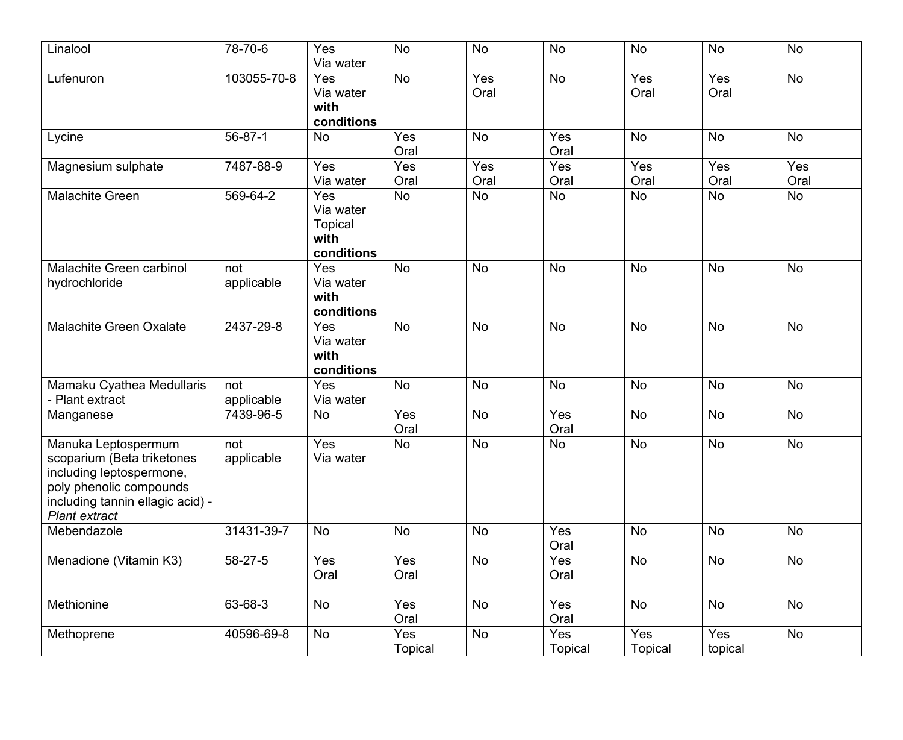| Linalool                                                                                                                                                             | 78-70-6           | Yes<br>Via water                                         | <b>No</b>      | No                           | <b>No</b>      | No                    | <b>No</b>      | <b>No</b>   |
|----------------------------------------------------------------------------------------------------------------------------------------------------------------------|-------------------|----------------------------------------------------------|----------------|------------------------------|----------------|-----------------------|----------------|-------------|
| Lufenuron                                                                                                                                                            | 103055-70-8       | Yes<br>Via water<br>with<br>conditions                   | No             | Yes<br>Oral                  | <b>No</b>      | Yes<br>Oral           | Yes<br>Oral    | No          |
| Lycine                                                                                                                                                               | 56-87-1           | No                                                       | Yes<br>Oral    | No                           | Yes<br>Oral    | <b>No</b>             | No             | <b>No</b>   |
| Magnesium sulphate                                                                                                                                                   | 7487-88-9         | Yes<br>Via water                                         | Yes<br>Oral    | Yes<br>Oral                  | Yes<br>Oral    | Yes<br>Oral           | Yes<br>Oral    | Yes<br>Oral |
| <b>Malachite Green</b>                                                                                                                                               | 569-64-2          | Yes<br>Via water<br><b>Topical</b><br>with<br>conditions | No             | <b>No</b>                    | <b>No</b>      | <b>No</b>             | <b>No</b>      | No          |
| Malachite Green carbinol<br>hydrochloride                                                                                                                            | not<br>applicable | Yes<br>Via water<br>with<br>conditions                   | No             | No                           | <b>No</b>      | <b>No</b>             | No             | No          |
| <b>Malachite Green Oxalate</b>                                                                                                                                       | 2437-29-8         | Yes<br>Via water<br>with<br>conditions                   | <b>No</b>      | <b>No</b>                    | <b>No</b>      | <b>No</b>             | <b>No</b>      | <b>No</b>   |
| Mamaku Cyathea Medullaris<br>- Plant extract                                                                                                                         | not<br>applicable | Yes<br>Via water                                         | No             | No                           | <b>No</b>      | <b>No</b>             | No             | No          |
| Manganese                                                                                                                                                            | 7439-96-5         | No                                                       | Yes<br>Oral    | No                           | Yes<br>Oral    | <b>No</b>             | <b>No</b>      | <b>No</b>   |
| Manuka Leptospermum<br>scoparium (Beta triketones<br>including leptospermone,<br>poly phenolic compounds<br>including tannin ellagic acid) -<br><b>Plant extract</b> | not<br>applicable | Yes<br>Via water                                         | No             | <b>No</b>                    | <b>No</b>      | <b>No</b>             | <b>No</b>      | <b>No</b>   |
| Mebendazole                                                                                                                                                          | 31431-39-7        | No                                                       | <b>No</b>      | No                           | Yes<br>Oral    | No                    | <b>No</b>      | <b>No</b>   |
| Menadione (Vitamin K3)                                                                                                                                               | 58-27-5           | Yes<br>Oral                                              | Yes<br>Oral    | No                           | Yes<br>Oral    | No                    | No             | No          |
| Methionine                                                                                                                                                           | 63-68-3           | No                                                       | Yes<br>Oral    | No                           | Yes<br>Oral    | No                    | No             | No          |
| Methoprene                                                                                                                                                           | 40596-69-8        | No                                                       | Yes<br>Topical | $\operatorname{\mathsf{No}}$ | Yes<br>Topical | Yes<br><b>Topical</b> | Yes<br>topical | No          |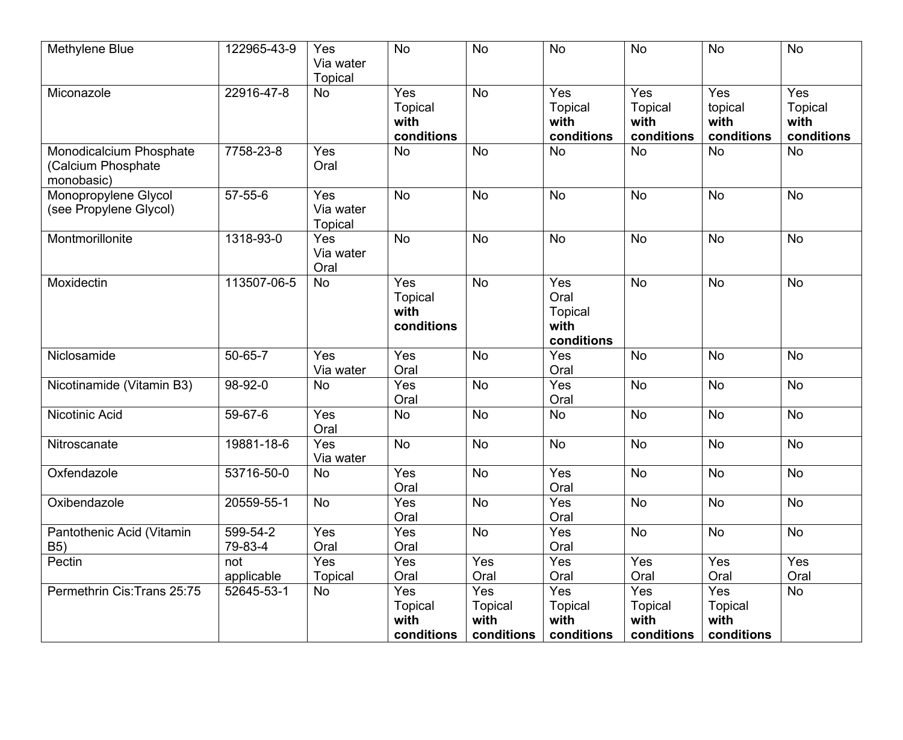| Methylene Blue                                              | 122965-43-9         | Yes<br>Via water<br><b>Topical</b> | <b>No</b>                                   | <b>No</b>             | <b>No</b>                                    | <b>No</b>                                   | <b>No</b>                            | <b>No</b>                                   |
|-------------------------------------------------------------|---------------------|------------------------------------|---------------------------------------------|-----------------------|----------------------------------------------|---------------------------------------------|--------------------------------------|---------------------------------------------|
| Miconazole                                                  | 22916-47-8          | No                                 | Yes<br><b>Topical</b><br>with<br>conditions | <b>No</b>             | Yes<br><b>Topical</b><br>with<br>conditions  | Yes<br><b>Topical</b><br>with<br>conditions | Yes<br>topical<br>with<br>conditions | Yes<br><b>Topical</b><br>with<br>conditions |
| Monodicalcium Phosphate<br>(Calcium Phosphate<br>monobasic) | 7758-23-8           | Yes<br>Oral                        | No                                          | <b>No</b>             | <b>No</b>                                    | <b>No</b>                                   | No                                   | No                                          |
| Monopropylene Glycol<br>(see Propylene Glycol)              | $57 - 55 - 6$       | Yes<br>Via water<br><b>Topical</b> | <b>No</b>                                   | <b>No</b>             | <b>No</b>                                    | <b>No</b>                                   | <b>No</b>                            | <b>No</b>                                   |
| Montmorillonite                                             | 1318-93-0           | Yes<br>Via water<br>Oral           | <b>No</b>                                   | <b>No</b>             | <b>No</b>                                    | <b>No</b>                                   | <b>No</b>                            | <b>No</b>                                   |
| Moxidectin                                                  | 113507-06-5         | No                                 | Yes<br><b>Topical</b><br>with<br>conditions | <b>No</b>             | Yes<br>Oral<br>Topical<br>with<br>conditions | <b>No</b>                                   | No                                   | No                                          |
| Niclosamide                                                 | 50-65-7             | Yes<br>Via water                   | Yes<br>Oral                                 | No                    | Yes<br>Oral                                  | <b>No</b>                                   | <b>No</b>                            | <b>No</b>                                   |
| Nicotinamide (Vitamin B3)                                   | 98-92-0             | No                                 | Yes<br>Oral                                 | <b>No</b>             | Yes<br>Oral                                  | <b>No</b>                                   | <b>No</b>                            | <b>No</b>                                   |
| Nicotinic Acid                                              | 59-67-6             | Yes<br>Oral                        | No                                          | <b>No</b>             | <b>No</b>                                    | <b>No</b>                                   | <b>No</b>                            | <b>No</b>                                   |
| Nitroscanate                                                | 19881-18-6          | Yes<br>Via water                   | No                                          | <b>No</b>             | <b>No</b>                                    | <b>No</b>                                   | No                                   | <b>No</b>                                   |
| Oxfendazole                                                 | 53716-50-0          | No                                 | Yes<br>Oral                                 | No                    | Yes<br>Oral                                  | <b>No</b>                                   | <b>No</b>                            | <b>No</b>                                   |
| Oxibendazole                                                | 20559-55-1          | No                                 | Yes<br>Oral                                 | <b>No</b>             | Yes<br>Oral                                  | <b>No</b>                                   | No                                   | No                                          |
| Pantothenic Acid (Vitamin<br><b>B5)</b>                     | 599-54-2<br>79-83-4 | Yes<br>Oral                        | Yes<br>Oral                                 | <b>No</b>             | Yes<br>Oral                                  | <b>No</b>                                   | <b>No</b>                            | <b>No</b>                                   |
| Pectin                                                      | not                 | Yes                                | Yes                                         | Yes                   | Yes                                          | Yes                                         | Yes                                  | Yes                                         |
|                                                             | applicable          | Topical                            | Oral                                        | Oral                  | Oral                                         | Oral                                        | Oral                                 | Oral                                        |
| Permethrin Cis: Trans 25:75                                 | 52645-53-1          | No                                 | Yes<br><b>Topical</b>                       | Yes<br><b>Topical</b> | Yes<br><b>Topical</b>                        | Yes<br><b>Topical</b>                       | Yes<br>Topical                       | No                                          |
|                                                             |                     |                                    | with                                        | with                  | with                                         | with                                        | with                                 |                                             |
|                                                             |                     |                                    | conditions                                  | conditions            | conditions                                   | conditions                                  | conditions                           |                                             |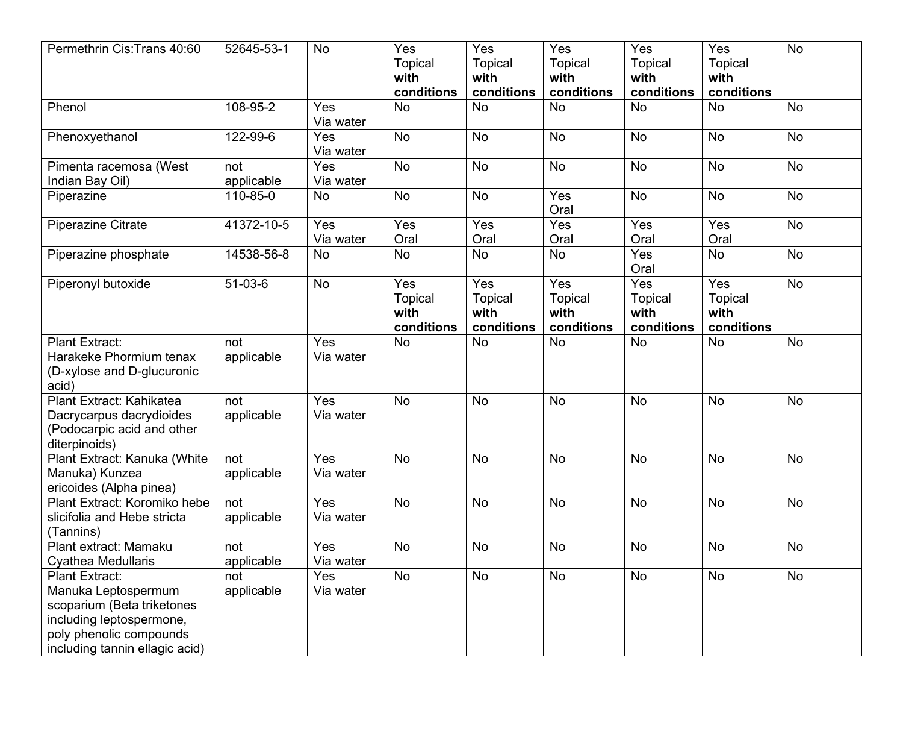| Permethrin Cis: Trans 40:60                                                                                                                                  | 52645-53-1        | <b>No</b>        | $\overline{Yes}$<br><b>Topical</b><br>with<br>conditions | Yes<br><b>Topical</b><br>with<br>conditions | Yes<br><b>Topical</b><br>with<br>conditions | Yes<br><b>Topical</b><br>with<br>conditions | Yes<br><b>Topical</b><br>with<br>conditions | <b>No</b> |
|--------------------------------------------------------------------------------------------------------------------------------------------------------------|-------------------|------------------|----------------------------------------------------------|---------------------------------------------|---------------------------------------------|---------------------------------------------|---------------------------------------------|-----------|
| Phenol                                                                                                                                                       | 108-95-2          | Yes<br>Via water | No                                                       | <b>No</b>                                   | <b>No</b>                                   | <b>No</b>                                   | <b>No</b>                                   | <b>No</b> |
| Phenoxyethanol                                                                                                                                               | 122-99-6          | Yes<br>Via water | <b>No</b>                                                | <b>No</b>                                   | <b>No</b>                                   | <b>No</b>                                   | No                                          | <b>No</b> |
| Pimenta racemosa (West<br>Indian Bay Oil)                                                                                                                    | not<br>applicable | Yes<br>Via water | No                                                       | <b>No</b>                                   | <b>No</b>                                   | No                                          | No                                          | No        |
| Piperazine                                                                                                                                                   | 110-85-0          | <b>No</b>        | No                                                       | <b>No</b>                                   | Yes<br>Oral                                 | <b>No</b>                                   | <b>No</b>                                   | <b>No</b> |
| Piperazine Citrate                                                                                                                                           | 41372-10-5        | Yes<br>Via water | Yes<br>Oral                                              | Yes<br>Oral                                 | Yes<br>Oral                                 | Yes<br>Oral                                 | Yes<br>Oral                                 | <b>No</b> |
| Piperazine phosphate                                                                                                                                         | 14538-56-8        | <b>No</b>        | No                                                       | <b>No</b>                                   | <b>No</b>                                   | Yes<br>Oral                                 | <b>No</b>                                   | <b>No</b> |
| Piperonyl butoxide                                                                                                                                           | $51-03-6$         | <b>No</b>        | Yes<br><b>Topical</b><br>with<br>conditions              | Yes<br><b>Topical</b><br>with<br>conditions | Yes<br><b>Topical</b><br>with<br>conditions | Yes<br><b>Topical</b><br>with<br>conditions | Yes<br><b>Topical</b><br>with<br>conditions | No        |
| Plant Extract:<br>Harakeke Phormium tenax<br>(D-xylose and D-glucuronic<br>acid)                                                                             | not<br>applicable | Yes<br>Via water | <b>No</b>                                                | <b>No</b>                                   | <b>No</b>                                   | <b>No</b>                                   | <b>No</b>                                   | No        |
| Plant Extract: Kahikatea<br>Dacrycarpus dacrydioides<br>(Podocarpic acid and other<br>diterpinoids)                                                          | not<br>applicable | Yes<br>Via water | <b>No</b>                                                | <b>No</b>                                   | <b>No</b>                                   | <b>No</b>                                   | <b>No</b>                                   | <b>No</b> |
| Plant Extract: Kanuka (White<br>Manuka) Kunzea<br>ericoides (Alpha pinea)                                                                                    | not<br>applicable | Yes<br>Via water | No                                                       | <b>No</b>                                   | <b>No</b>                                   | <b>No</b>                                   | <b>No</b>                                   | <b>No</b> |
| Plant Extract: Koromiko hebe<br>slicifolia and Hebe stricta<br>(Tannins)                                                                                     | not<br>applicable | Yes<br>Via water | <b>No</b>                                                | <b>No</b>                                   | <b>No</b>                                   | <b>No</b>                                   | <b>No</b>                                   | <b>No</b> |
| Plant extract: Mamaku<br>Cyathea Medullaris                                                                                                                  | not<br>applicable | Yes<br>Via water | No                                                       | <b>No</b>                                   | <b>No</b>                                   | <b>No</b>                                   | No                                          | <b>No</b> |
| Plant Extract:<br>Manuka Leptospermum<br>scoparium (Beta triketones<br>including leptospermone,<br>poly phenolic compounds<br>including tannin ellagic acid) | not<br>applicable | Yes<br>Via water | No                                                       | No                                          | <b>No</b>                                   | No                                          | No                                          | No        |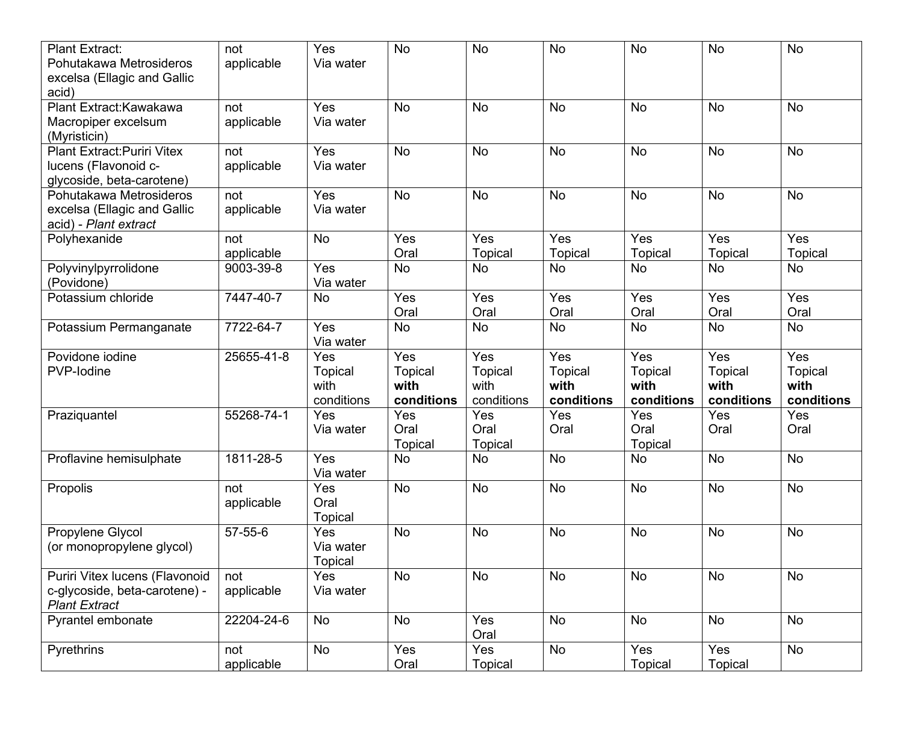| <b>Plant Extract:</b><br>Pohutakawa Metrosideros     | not<br>applicable | Yes<br>Via water     | No             | <b>No</b>      | <b>No</b>      | <b>No</b>      | <b>No</b>      | No             |
|------------------------------------------------------|-------------------|----------------------|----------------|----------------|----------------|----------------|----------------|----------------|
| excelsa (Ellagic and Gallic<br>acid)                 |                   |                      |                |                |                |                |                |                |
| Plant Extract: Kawakawa                              | not               | Yes                  | No             | <b>No</b>      | <b>No</b>      | <b>No</b>      | <b>No</b>      | No             |
| Macropiper excelsum<br>(Myristicin)                  | applicable        | Via water            |                |                |                |                |                |                |
| <b>Plant Extract: Puriri Vitex</b>                   | not               | Yes                  | No             | <b>No</b>      | <b>No</b>      | <b>No</b>      | <b>No</b>      | <b>No</b>      |
| lucens (Flavonoid c-                                 | applicable        | Via water            |                |                |                |                |                |                |
| glycoside, beta-carotene)<br>Pohutakawa Metrosideros | not               | Yes                  | <b>No</b>      | <b>No</b>      | <b>No</b>      | <b>No</b>      | <b>No</b>      | <b>No</b>      |
| excelsa (Ellagic and Gallic                          | applicable        | Via water            |                |                |                |                |                |                |
| acid) - Plant extract                                |                   |                      |                |                |                |                |                |                |
| Polyhexanide                                         | not               | <b>No</b>            | Yes            | Yes            | Yes            | Yes            | Yes            | Yes            |
|                                                      | applicable        |                      | Oral           | <b>Topical</b> | Topical        | <b>Topical</b> | Topical        | Topical        |
| Polyvinylpyrrolidone                                 | 9003-39-8         | Yes                  | No             | <b>No</b>      | <b>No</b>      | No             | No             | No             |
| (Povidone)<br>Potassium chloride                     | 7447-40-7         | Via water            | Yes            | Yes            | Yes            | Yes            | Yes            | Yes            |
|                                                      |                   | No                   | Oral           | Oral           | Oral           | Oral           | Oral           | Oral           |
| Potassium Permanganate                               | 7722-64-7         | Yes                  | No             | <b>No</b>      | <b>No</b>      | <b>No</b>      | <b>No</b>      | No             |
|                                                      |                   | Via water            |                |                |                |                |                |                |
| Povidone iodine                                      | 25655-41-8        | Yes                  | Yes            | Yes            | Yes            | Yes            | Yes            | Yes            |
| PVP-lodine                                           |                   | <b>Topical</b>       | <b>Topical</b> | <b>Topical</b> | <b>Topical</b> | <b>Topical</b> | <b>Topical</b> | <b>Topical</b> |
|                                                      |                   | with                 | with           | with           | with           | with           | with           | with           |
|                                                      |                   | conditions           | conditions     | conditions     | conditions     | conditions     | conditions     | conditions     |
| Praziquantel                                         | 55268-74-1        | Yes<br>Via water     | Yes<br>Oral    | Yes<br>Oral    | Yes<br>Oral    | Yes<br>Oral    | Yes<br>Oral    | Yes<br>Oral    |
|                                                      |                   |                      | <b>Topical</b> | Topical        |                | Topical        |                |                |
| Proflavine hemisulphate                              | 1811-28-5         | Yes                  | No             | No             | <b>No</b>      | No             | <b>No</b>      | <b>No</b>      |
|                                                      |                   | Via water            |                |                |                |                |                |                |
| Propolis                                             | not               | Yes                  | No             | <b>No</b>      | <b>No</b>      | <b>No</b>      | No             | No             |
|                                                      | applicable        | Oral                 |                |                |                |                |                |                |
|                                                      |                   | Topical              |                |                |                |                |                |                |
| Propylene Glycol                                     | 57-55-6           | Yes                  | No             | <b>No</b>      | <b>No</b>      | <b>No</b>      | No             | <b>No</b>      |
| (or monopropylene glycol)                            |                   | Via water<br>Topical |                |                |                |                |                |                |
| Puriri Vitex lucens (Flavonoid                       | not               | Yes                  | No             | No             | <b>No</b>      | <b>No</b>      | No             | No             |
| c-glycoside, beta-carotene) -                        | applicable        | Via water            |                |                |                |                |                |                |
| <b>Plant Extract</b>                                 | 22204-24-6        |                      |                | Yes            | <b>No</b>      |                | <b>No</b>      |                |
| Pyrantel embonate                                    |                   | No                   | No             | Oral           |                | No             |                | No             |
| Pyrethrins                                           | not               | No                   | Yes            | Yes            | No             | Yes            | Yes            | No             |
|                                                      | applicable        |                      | Oral           | Topical        |                | <b>Topical</b> | Topical        |                |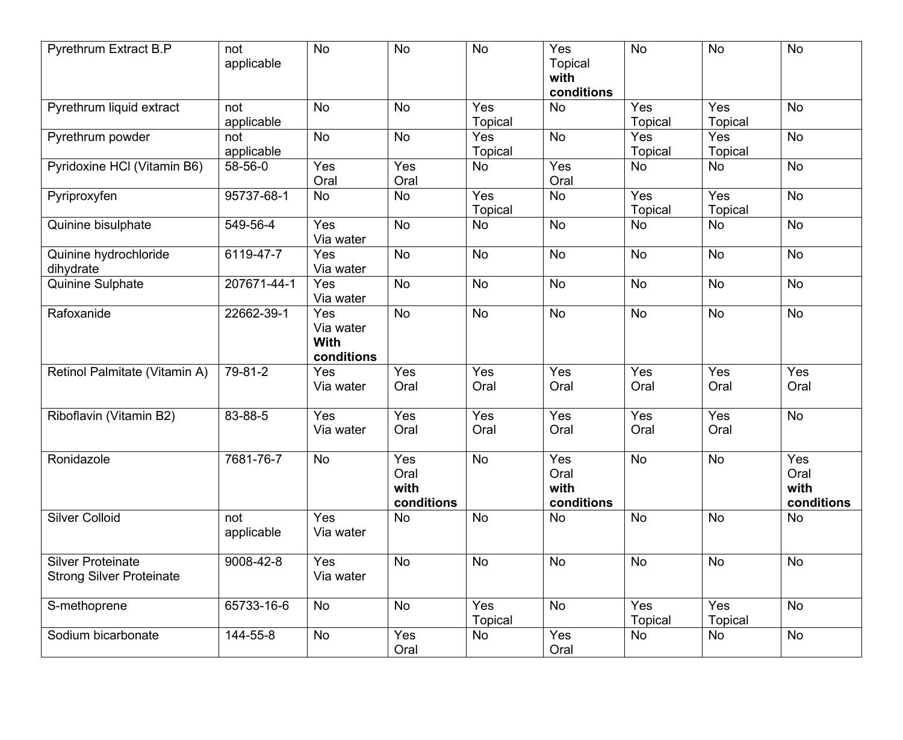| Pyrethrum Extract B.P                                       | not<br>applicable | <b>No</b>                              | <b>No</b>                         | <b>No</b>             | Yes<br><b>Topical</b><br>with<br>conditions | <b>No</b>                          | <b>No</b>             | No                                |
|-------------------------------------------------------------|-------------------|----------------------------------------|-----------------------------------|-----------------------|---------------------------------------------|------------------------------------|-----------------------|-----------------------------------|
| Pyrethrum liquid extract                                    | not<br>applicable | <b>No</b>                              | No                                | Yes<br><b>Topical</b> | <b>No</b>                                   | $\overline{Yes}$<br><b>Topical</b> | Yes<br>Topical        | <b>No</b>                         |
| Pyrethrum powder                                            | not<br>applicable | <b>No</b>                              | No                                | Yes<br><b>Topical</b> | <b>No</b>                                   | Yes<br><b>Topical</b>              | Yes<br>Topical        | <b>No</b>                         |
| Pyridoxine HCl (Vitamin B6)                                 | 58-56-0           | Yes<br>Oral                            | Yes<br>Oral                       | <b>No</b>             | Yes<br>Oral                                 | No                                 | No                    | No                                |
| Pyriproxyfen                                                | 95737-68-1        | <b>No</b>                              | <b>No</b>                         | Yes<br><b>Topical</b> | <b>No</b>                                   | Yes<br><b>Topical</b>              | Yes<br><b>Topical</b> | No                                |
| Quinine bisulphate                                          | 549-56-4          | Yes<br>Via water                       | <b>No</b>                         | No                    | <b>No</b>                                   | No                                 | No                    | No                                |
| Quinine hydrochloride<br>dihydrate                          | 6119-47-7         | Yes<br>Via water                       | No                                | <b>No</b>             | No                                          | <b>No</b>                          | No                    | <b>No</b>                         |
| Quinine Sulphate                                            | 207671-44-1       | Yes<br>Via water                       | No                                | <b>No</b>             | <b>No</b>                                   | <b>No</b>                          | No                    | No                                |
| Rafoxanide                                                  | 22662-39-1        | Yes<br>Via water<br>With<br>conditions | No                                | <b>No</b>             | <b>No</b>                                   | <b>No</b>                          | <b>No</b>             | No                                |
| Retinol Palmitate (Vitamin A)                               | 79-81-2           | Yes<br>Via water                       | Yes<br>Oral                       | Yes<br>Oral           | Yes<br>Oral                                 | Yes<br>Oral                        | Yes<br>Oral           | Yes<br>Oral                       |
| Riboflavin (Vitamin B2)                                     | 83-88-5           | Yes<br>Via water                       | Yes<br>Oral                       | Yes<br>Oral           | Yes<br>Oral                                 | Yes<br>Oral                        | Yes<br>Oral           | No                                |
| Ronidazole                                                  | 7681-76-7         | <b>No</b>                              | Yes<br>Oral<br>with<br>conditions | <b>No</b>             | Yes<br>Oral<br>with<br>conditions           | <b>No</b>                          | <b>No</b>             | Yes<br>Oral<br>with<br>conditions |
| <b>Silver Colloid</b>                                       | not<br>applicable | Yes<br>Via water                       | <b>No</b>                         | <b>No</b>             | <b>No</b>                                   | <b>No</b>                          | <b>No</b>             | No                                |
| <b>Silver Proteinate</b><br><b>Strong Silver Proteinate</b> | 9008-42-8         | Yes<br>Via water                       | No                                | No                    | No                                          | No                                 | No                    | No                                |
| S-methoprene                                                | 65733-16-6        | <b>No</b>                              | <b>No</b>                         | Yes<br><b>Topical</b> | No                                          | $\overline{Yes}$<br>Topical        | Yes<br>Topical        | No                                |
| Sodium bicarbonate                                          | 144-55-8          | No                                     | Yes<br>Oral                       | No                    | Yes<br>Oral                                 | No                                 | No                    | No                                |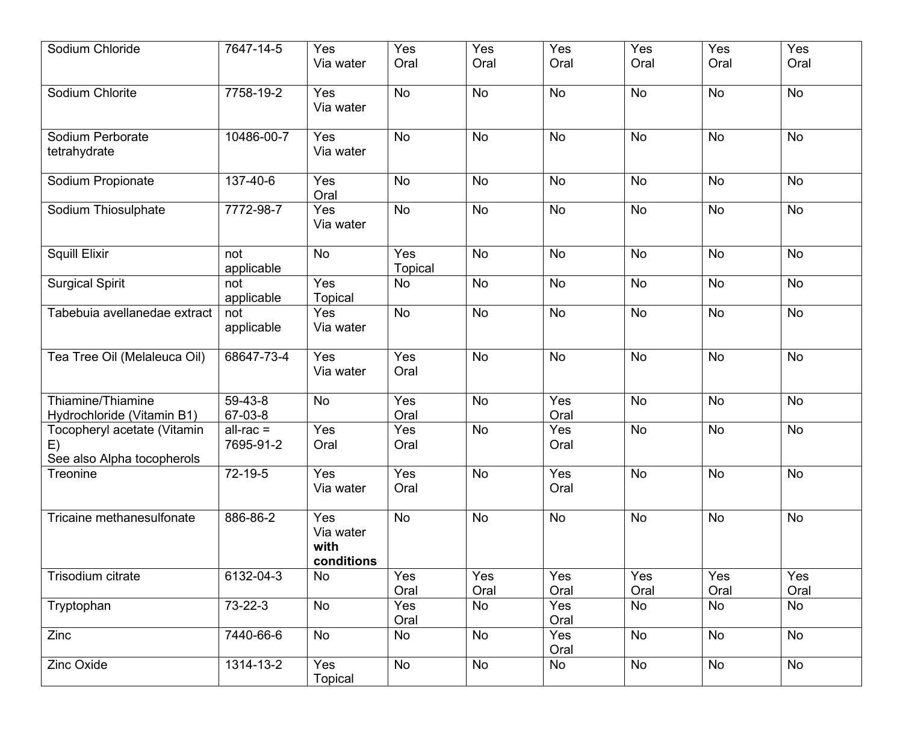| Sodium Chloride                                                 | 7647-14-5                | Yes<br>Via water                       | Yes<br>Oral           | Yes<br>Oral | Yes<br>Oral | Yes<br>Oral | Yes<br>Oral | Yes<br>Oral |
|-----------------------------------------------------------------|--------------------------|----------------------------------------|-----------------------|-------------|-------------|-------------|-------------|-------------|
| Sodium Chlorite                                                 | 7758-19-2                | Yes<br>Via water                       | <b>No</b>             | No          | <b>No</b>   | <b>No</b>   | <b>No</b>   | No          |
| Sodium Perborate<br>tetrahydrate                                | 10486-00-7               | Yes<br>Via water                       | <b>No</b>             | <b>No</b>   | <b>No</b>   | <b>No</b>   | <b>No</b>   | <b>No</b>   |
| Sodium Propionate                                               | 137-40-6                 | Yes<br>Oral                            | <b>No</b>             | No          | <b>No</b>   | <b>No</b>   | No          | <b>No</b>   |
| Sodium Thiosulphate                                             | 7772-98-7                | Yes<br>Via water                       | <b>No</b>             | <b>No</b>   | <b>No</b>   | <b>No</b>   | <b>No</b>   | No          |
| <b>Squill Elixir</b>                                            | not<br>applicable        | <b>No</b>                              | Yes<br><b>Topical</b> | No          | <b>No</b>   | <b>No</b>   | <b>No</b>   | <b>No</b>   |
| <b>Surgical Spirit</b>                                          | not<br>applicable        | Yes<br>Topical                         | No                    | No          | <b>No</b>   | No          | No          | No          |
| Tabebuia avellanedae extract                                    | not<br>applicable        | Yes<br>Via water                       | <b>No</b>             | <b>No</b>   | <b>No</b>   | <b>No</b>   | <b>No</b>   | No          |
| Tea Tree Oil (Melaleuca Oil)                                    | 68647-73-4               | Yes<br>Via water                       | Yes<br>Oral           | <b>No</b>   | <b>No</b>   | <b>No</b>   | <b>No</b>   | <b>No</b>   |
| Thiamine/Thiamine<br>Hydrochloride (Vitamin B1)                 | 59-43-8<br>67-03-8       | <b>No</b>                              | Yes<br>Oral           | <b>No</b>   | Yes<br>Oral | <b>No</b>   | <b>No</b>   | <b>No</b>   |
| Tocopheryl acetate (Vitamin<br>E)<br>See also Alpha tocopherols | $all-rac =$<br>7695-91-2 | Yes<br>Oral                            | Yes<br>Oral           | <b>No</b>   | Yes<br>Oral | <b>No</b>   | <b>No</b>   | <b>No</b>   |
| Treonine                                                        | 72-19-5                  | Yes<br>Via water                       | Yes<br>Oral           | No          | Yes<br>Oral | <b>No</b>   | <b>No</b>   | No          |
| Tricaine methanesulfonate                                       | 886-86-2                 | Yes<br>Via water<br>with<br>conditions | <b>No</b>             | No          | <b>No</b>   | <b>No</b>   | <b>No</b>   | <b>No</b>   |
| Trisodium citrate                                               | 6132-04-3                | <b>No</b>                              | Yes<br>Oral           | Yes<br>Oral | Yes<br>Oral | Yes<br>Oral | Yes<br>Oral | Yes<br>Oral |
| Tryptophan                                                      | $73 - 22 - 3$            | No                                     | Yes<br>Oral           | No          | Yes<br>Oral | No          | No          | No          |
| Zinc                                                            | 7440-66-6                | <b>No</b>                              | No                    | No          | Yes<br>Oral | No          | <b>No</b>   | No          |
| Zinc Oxide                                                      | 1314-13-2                | Yes<br><b>Topical</b>                  | No                    | No          | No          | No          | No          | No          |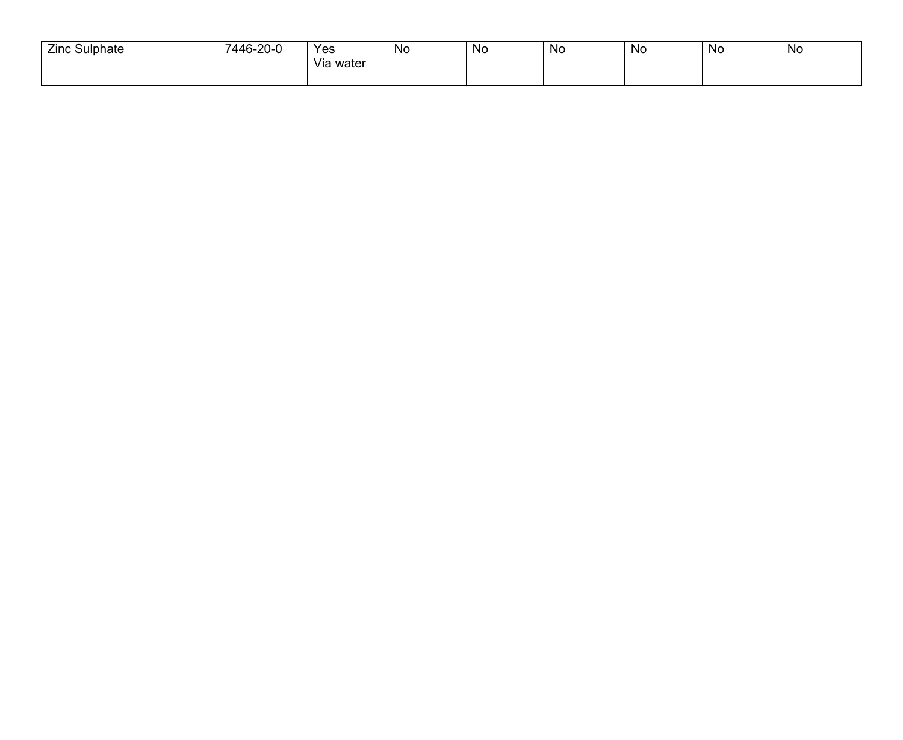| <b>Zinc Sulphate</b> | 7446-20-0 | Yes                   | No | N0 | <b>NC</b> | N0 | No | No |
|----------------------|-----------|-----------------------|----|----|-----------|----|----|----|
|                      |           | $\cdots$<br>Via water |    |    |           |    |    |    |
|                      |           |                       |    |    |           |    |    |    |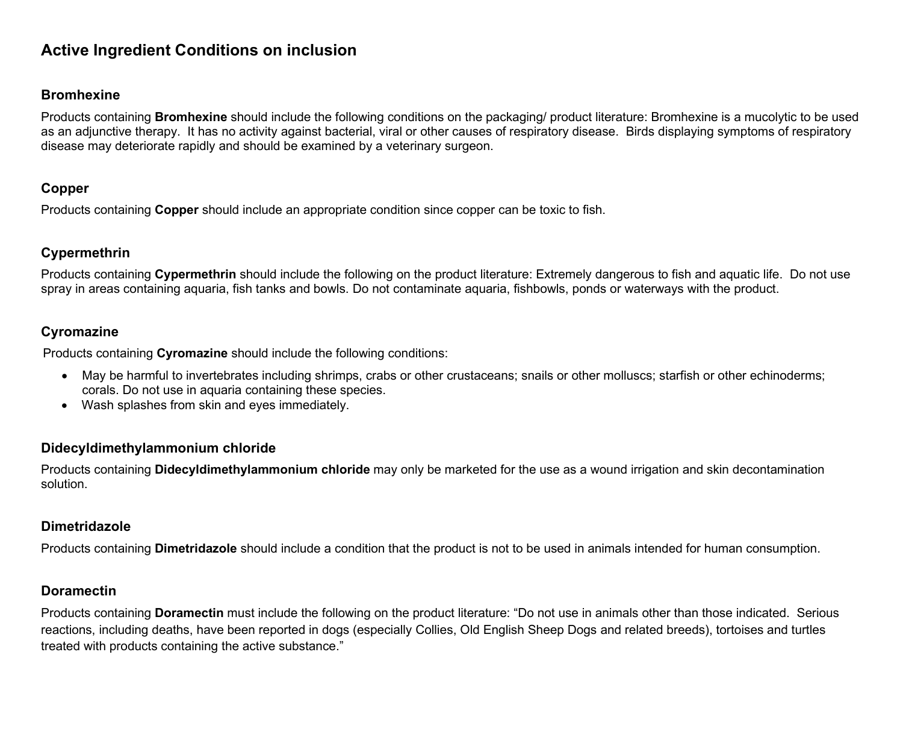# **Active Ingredient Conditions on inclusion**

#### <span id="page-14-0"></span>**Bromhexine**

Products containing **Bromhexine** should include the following conditions on the packaging/ product literature: Bromhexine is a mucolytic to be used as an adjunctive therapy. It has no activity against bacterial, viral or other causes of respiratory disease. Birds displaying symptoms of respiratory disease may deteriorate rapidly and should be examined by a veterinary surgeon.

#### <span id="page-14-1"></span>**Copper**

Products containing **Copper** should include an appropriate condition since copper can be toxic to fish.

### <span id="page-14-2"></span>**Cypermethrin**

Products containing **Cypermethrin** should include the following on the product literature: Extremely dangerous to fish and aquatic life. Do not use spray in areas containing aquaria, fish tanks and bowls. Do not contaminate aquaria, fishbowls, ponds or waterways with the product.

### <span id="page-14-3"></span>**Cyromazine**

Products containing **Cyromazine** should include the following conditions:

- May be harmful to invertebrates including shrimps, crabs or other crustaceans; snails or other molluscs; starfish or other echinoderms; corals. Do not use in aquaria containing these species.
- Wash splashes from skin and eyes immediately.

#### <span id="page-14-4"></span>**Didecyldimethylammonium chloride**

Products containing **Didecyldimethylammonium chloride** may only be marketed for the use as a wound irrigation and skin decontamination solution.

#### <span id="page-14-5"></span>**Dimetridazole**

Products containing **Dimetridazole** should include a condition that the product is not to be used in animals intended for human consumption.

#### <span id="page-14-6"></span>**Doramectin**

Products containing **Doramectin** must include the following on the product literature: "Do not use in animals other than those indicated. Serious reactions, including deaths, have been reported in dogs (especially Collies, Old English Sheep Dogs and related breeds), tortoises and turtles treated with products containing the active substance."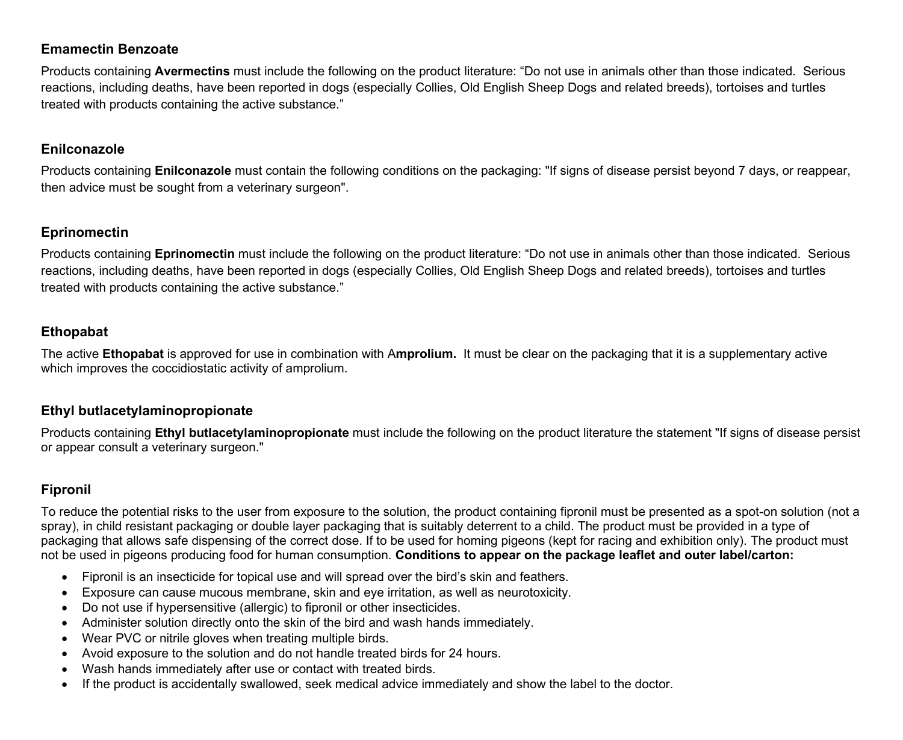### <span id="page-15-0"></span>**Emamectin Benzoate**

Products containing **Avermectins** must include the following on the product literature: "Do not use in animals other than those indicated. Serious reactions, including deaths, have been reported in dogs (especially Collies, Old English Sheep Dogs and related breeds), tortoises and turtles treated with products containing the active substance."

#### <span id="page-15-1"></span>**Enilconazole**

Products containing **Enilconazole** must contain the following conditions on the packaging: "If signs of disease persist beyond 7 days, or reappear, then advice must be sought from a veterinary surgeon".

### <span id="page-15-4"></span>**Eprinomectin**

<span id="page-15-2"></span>Products containing **Eprinomectin** must include the following on the product literature: "Do not use in animals other than those indicated. Serious reactions, including deaths, have been reported in dogs (especially Collies, Old English Sheep Dogs and related breeds), tortoises and turtles treated with products containing the active substance."

### **Ethopabat**

The active **Ethopabat** is approved for use in combination with A**mprolium.** It must be clear on the packaging that it is a supplementary active which improves the coccidiostatic activity of amprolium.

#### <span id="page-15-3"></span>**Ethyl butlacetylaminopropionate**

Products containing **Ethyl butlacetylaminopropionate** must include the following on the product literature the statement "If signs of disease persist or appear consult a veterinary surgeon."

### <span id="page-15-5"></span>**Fipronil**

To reduce the potential risks to the user from exposure to the solution, the product containing fipronil must be presented as a spot-on solution (not a spray), in child resistant packaging or double layer packaging that is suitably deterrent to a child. The product must be provided in a type of packaging that allows safe dispensing of the correct dose. If to be used for homing pigeons (kept for racing and exhibition only). The product must not be used in pigeons producing food for human consumption. **Conditions to appear on the package leaflet and outer label/carton:**

- Fipronil is an insecticide for topical use and will spread over the bird's skin and feathers.
- Exposure can cause mucous membrane, skin and eye irritation, as well as neurotoxicity.
- Do not use if hypersensitive (allergic) to fipronil or other insecticides.
- Administer solution directly onto the skin of the bird and wash hands immediately.
- Wear PVC or nitrile gloves when treating multiple birds.
- Avoid exposure to the solution and do not handle treated birds for 24 hours.
- Wash hands immediately after use or contact with treated birds.
- If the product is accidentally swallowed, seek medical advice immediately and show the label to the doctor.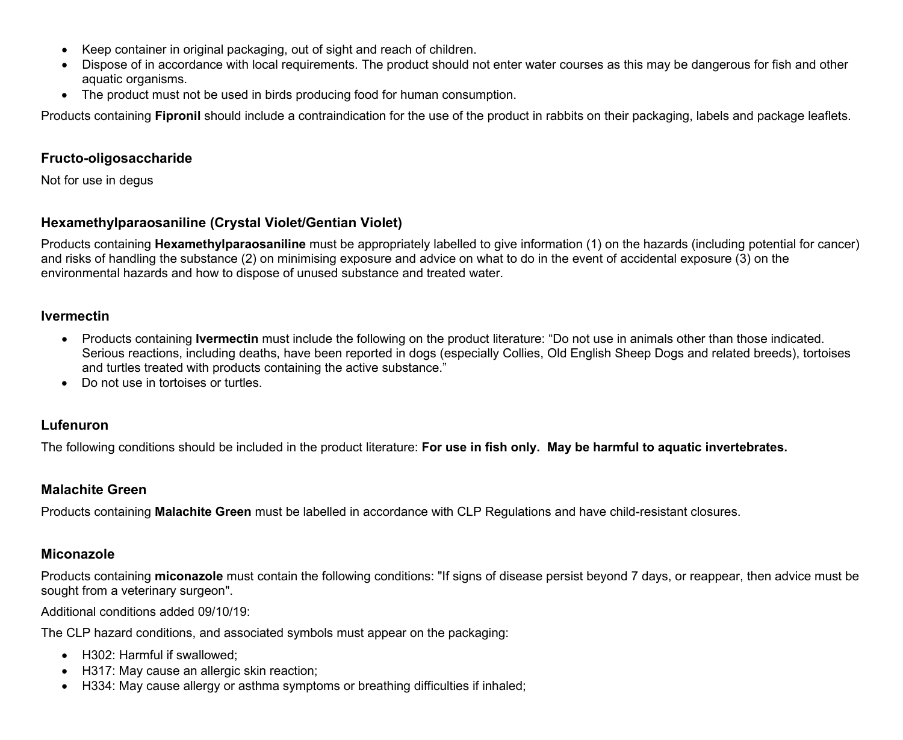- Keep container in original packaging, out of sight and reach of children.
- Dispose of in accordance with local requirements. The product should not enter water courses as this may be dangerous for fish and other aquatic organisms.
- The product must not be used in birds producing food for human consumption.

Products containing **Fipronil** should include a contraindication for the use of the product in rabbits on their packaging, labels and package leaflets.

### **Fructo-oligosaccharide**

Not for use in degus

## <span id="page-16-0"></span>**Hexamethylparaosaniline (Crystal Violet/Gentian Violet)**

Products containing **Hexamethylparaosaniline** must be appropriately labelled to give information (1) on the hazards (including potential for cancer) and risks of handling the substance (2) on minimising exposure and advice on what to do in the event of accidental exposure (3) on the environmental hazards and how to dispose of unused substance and treated water.

### <span id="page-16-1"></span>**Ivermectin**

- Products containing **Ivermectin** must include the following on the product literature: "Do not use in animals other than those indicated. Serious reactions, including deaths, have been reported in dogs (especially Collies, Old English Sheep Dogs and related breeds), tortoises and turtles treated with products containing the active substance."
- <span id="page-16-4"></span>• Do not use in tortoises or turtles

## <span id="page-16-2"></span>**Lufenuron**

The following conditions should be included in the product literature: **For use in fish only. May be harmful to aquatic invertebrates.**

## <span id="page-16-3"></span>**Malachite Green**

Products containing **Malachite Green** must be labelled in accordance with CLP Regulations and have child-resistant closures.

## **Miconazole**

Products containing **miconazole** must contain the following conditions: "If signs of disease persist beyond 7 days, or reappear, then advice must be sought from a veterinary surgeon".

Additional conditions added 09/10/19:

The CLP hazard conditions, and associated symbols must appear on the packaging:

- H302: Harmful if swallowed;
- H317: May cause an allergic skin reaction;
- H334: May cause allergy or asthma symptoms or breathing difficulties if inhaled;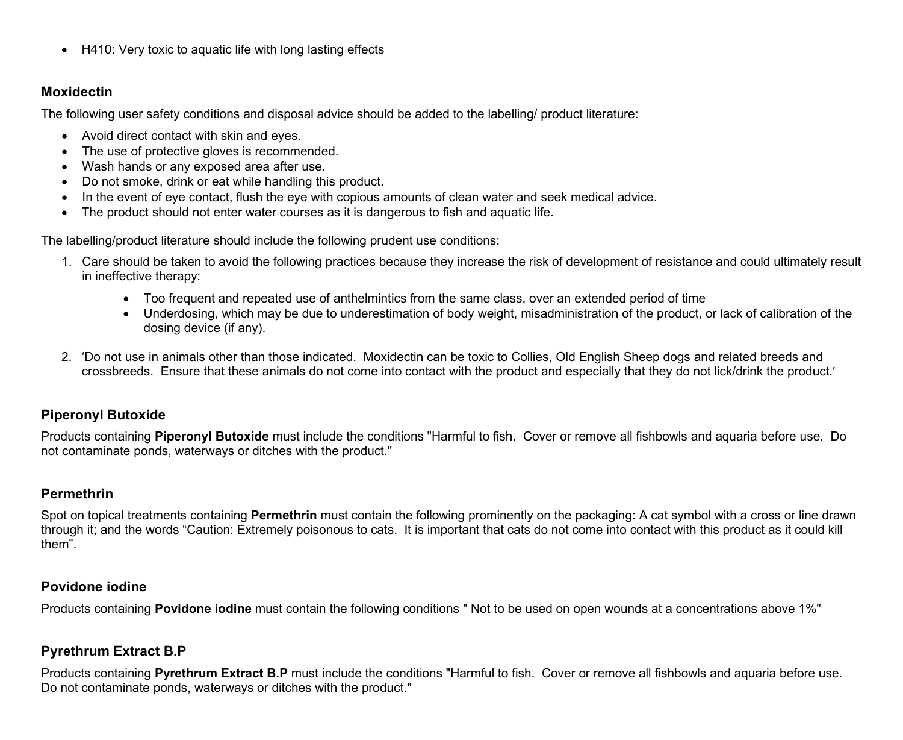• H410: Very toxic to aquatic life with long lasting effects

### <span id="page-17-0"></span>**Moxidectin**

The following user safety conditions and disposal advice should be added to the labelling/ product literature:

- Avoid direct contact with skin and eyes.
- The use of protective gloves is recommended.
- Wash hands or any exposed area after use.
- Do not smoke, drink or eat while handling this product.
- In the event of eye contact, flush the eye with copious amounts of clean water and seek medical advice.
- The product should not enter water courses as it is dangerous to fish and aquatic life.

The labelling/product literature should include the following prudent use conditions:

- 1. Care should be taken to avoid the following practices because they increase the risk of development of resistance and could ultimately result in ineffective therapy:
	- Too frequent and repeated use of anthelmintics from the same class, over an extended period of time
	- Underdosing, which may be due to underestimation of body weight, misadministration of the product, or lack of calibration of the dosing device (if any).
- 2. 'Do not use in animals other than those indicated. Moxidectin can be toxic to Collies, Old English Sheep dogs and related breeds and crossbreeds. Ensure that these animals do not come into contact with the product and especially that they do not lick/drink the product.'

## <span id="page-17-2"></span>**Piperonyl Butoxide**

Products containing **Piperonyl Butoxide** must include the conditions "Harmful to fish. Cover or remove all fishbowls and aquaria before use. Do not contaminate ponds, waterways or ditches with the product."

## <span id="page-17-1"></span>**Permethrin**

Spot on topical treatments containing **Permethrin** must contain the following prominently on the packaging: A cat symbol with a cross or line drawn through it; and the words "Caution: Extremely poisonous to cats. It is important that cats do not come into contact with this product as it could kill them".

## <span id="page-17-3"></span>**Povidone iodine**

Products containing **Povidone iodine** must contain the following conditions " Not to be used on open wounds at a concentrations above 1%"

## <span id="page-17-4"></span>**Pyrethrum Extract B.P**

Products containing **Pyrethrum Extract B.P** must include the conditions "Harmful to fish. Cover or remove all fishbowls and aquaria before use. Do not contaminate ponds, waterways or ditches with the product."